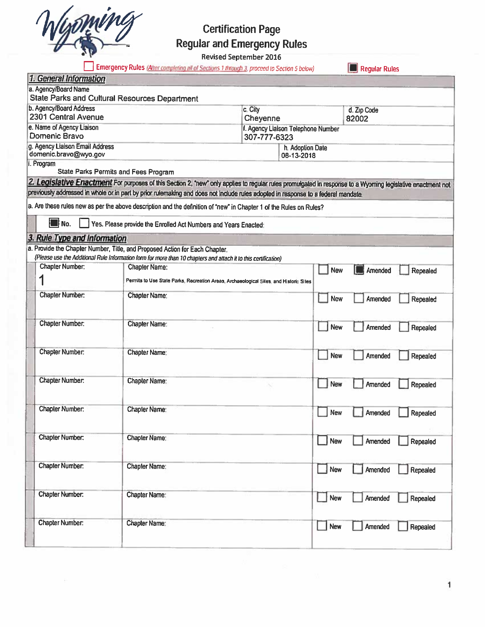

# **Certification Page Regular and Emergency Rules**

Revised September 2016

Emergency Rules (After completing all of Sections 1 through 3, proceed to Section 5 below)

Regular Rules

|                                               | 1. General Information                                    |                                                                                                                                                             |                  |                                    |            |             |          |
|-----------------------------------------------|-----------------------------------------------------------|-------------------------------------------------------------------------------------------------------------------------------------------------------------|------------------|------------------------------------|------------|-------------|----------|
|                                               | a. Agency/Board Name                                      |                                                                                                                                                             |                  |                                    |            |             |          |
| State Parks and Cultural Resources Department |                                                           |                                                                                                                                                             |                  |                                    |            |             |          |
|                                               | b. Agency/Board Address                                   |                                                                                                                                                             | c. City          |                                    |            | d. Zip Code |          |
|                                               | 2301 Central Avenue                                       |                                                                                                                                                             | Cheyenne         |                                    |            | 82002       |          |
|                                               | e. Name of Agency Liaison                                 |                                                                                                                                                             |                  | f. Agency Liaison Telephone Number |            |             |          |
|                                               | Domenic Bravo                                             |                                                                                                                                                             |                  | 307-777-6323                       |            |             |          |
|                                               | g. Agency Liaison Email Address                           |                                                                                                                                                             | h. Adoption Date |                                    |            |             |          |
|                                               | domenic.bravo@wyo.gov                                     |                                                                                                                                                             |                  | 08-13-2018                         |            |             |          |
|                                               | i. Program<br><b>State Parks Permits and Fees Program</b> |                                                                                                                                                             |                  |                                    |            |             |          |
|                                               |                                                           | 2. Legislative Enactment For purposes of this Section 2, "new" only applies to regular rules promulgated in response to a Wyoming legislative enactment not |                  |                                    |            |             |          |
|                                               |                                                           | previously addressed in whole or in part by prior rulemaking and does not include rules adopted in response to a federal mandate.                           |                  |                                    |            |             |          |
|                                               |                                                           |                                                                                                                                                             |                  |                                    |            |             |          |
|                                               |                                                           | a. Are these rules new as per the above description and the definition of "new" in Chapter 1 of the Rules on Rules?                                         |                  |                                    |            |             |          |
|                                               | <b>II</b> No.                                             | Yes. Please provide the Enrolled Act Numbers and Years Enacted:                                                                                             |                  |                                    |            |             |          |
|                                               | 3. Rule Type and Information                              |                                                                                                                                                             |                  |                                    |            |             |          |
|                                               |                                                           | a. Provide the Chapter Number, Title, and Proposed Action for Each Chapter.                                                                                 |                  |                                    |            |             |          |
|                                               |                                                           | (Please use the Additional Rule Information form for more than 10 chapters and attach it to this certification)                                             |                  |                                    |            |             |          |
|                                               | <b>Chapter Number:</b>                                    | <b>Chapter Name:</b>                                                                                                                                        |                  |                                    | New        | Amended     | Repealed |
|                                               |                                                           | Permits to Use State Parks, Recreation Areas, Archaeological Sites, and Historic Sites                                                                      |                  |                                    |            |             |          |
|                                               | Chapter Number:                                           | <b>Chapter Name:</b>                                                                                                                                        |                  |                                    |            | Amended     |          |
|                                               |                                                           |                                                                                                                                                             |                  |                                    | <b>New</b> |             | Repealed |
|                                               |                                                           |                                                                                                                                                             |                  |                                    |            |             |          |
|                                               | <b>Chapter Number:</b>                                    | <b>Chapter Name:</b>                                                                                                                                        |                  |                                    | New        | Amended     | Repealed |
|                                               |                                                           |                                                                                                                                                             |                  |                                    |            |             |          |
|                                               |                                                           |                                                                                                                                                             |                  |                                    |            |             |          |
|                                               | Chapter Number:                                           | Chapter Name:                                                                                                                                               |                  |                                    | <b>New</b> | Amended     | Repealed |
|                                               |                                                           |                                                                                                                                                             |                  |                                    |            |             |          |
|                                               |                                                           |                                                                                                                                                             |                  |                                    |            |             |          |
|                                               | Chapter Number:                                           | <b>Chapter Name:</b>                                                                                                                                        |                  |                                    | New        | Amended     | Repealed |
|                                               |                                                           |                                                                                                                                                             |                  |                                    |            |             |          |
|                                               |                                                           |                                                                                                                                                             |                  |                                    |            |             |          |
|                                               | Chapter Number:                                           | <b>Chapter Name:</b>                                                                                                                                        |                  |                                    | <b>New</b> | Amended     | Repealed |
|                                               |                                                           |                                                                                                                                                             |                  |                                    |            |             |          |
|                                               |                                                           |                                                                                                                                                             |                  |                                    |            |             |          |
|                                               | <b>Chapter Number:</b>                                    | Chapter Name:                                                                                                                                               |                  |                                    | New        | Amended     | Repealed |
|                                               |                                                           |                                                                                                                                                             |                  |                                    |            |             |          |
|                                               |                                                           |                                                                                                                                                             |                  |                                    |            |             |          |
|                                               | Chapter Number:                                           | <b>Chapter Name:</b>                                                                                                                                        |                  |                                    | New        | Amended     | Repealed |
|                                               |                                                           |                                                                                                                                                             |                  |                                    |            |             |          |
|                                               | <b>Chapter Number:</b>                                    | <b>Chapter Name:</b>                                                                                                                                        |                  |                                    |            |             |          |
|                                               |                                                           |                                                                                                                                                             |                  |                                    | <b>New</b> | Amended     | Repealed |
|                                               |                                                           |                                                                                                                                                             |                  |                                    |            |             |          |
|                                               |                                                           |                                                                                                                                                             |                  |                                    |            |             |          |
|                                               |                                                           |                                                                                                                                                             |                  |                                    |            |             |          |
|                                               |                                                           |                                                                                                                                                             |                  |                                    |            |             |          |
|                                               | Chapter Number:                                           | Chapter Name:                                                                                                                                               |                  |                                    | New        | Amended     | Repealed |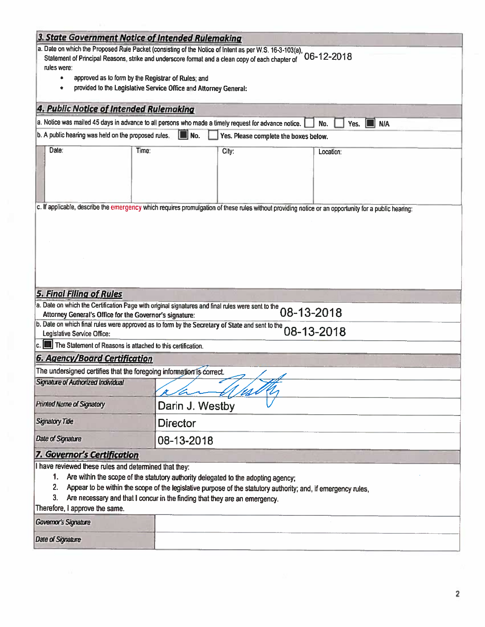| 3. State Government Notice of Intended Rulemaking                                                                                                                                                                                                                                                                                                                                               |                 |       |  |                           |  |  |
|-------------------------------------------------------------------------------------------------------------------------------------------------------------------------------------------------------------------------------------------------------------------------------------------------------------------------------------------------------------------------------------------------|-----------------|-------|--|---------------------------|--|--|
| a. Date on which the Proposed Rule Packet (consisting of the Notice of Intent as per W.S. 16-3-103(a), 06-12-2018                                                                                                                                                                                                                                                                               |                 |       |  |                           |  |  |
| Statement of Principal Reasons, strike and underscore format and a clean copy of each chapter of                                                                                                                                                                                                                                                                                                |                 |       |  |                           |  |  |
| rules were:                                                                                                                                                                                                                                                                                                                                                                                     |                 |       |  |                           |  |  |
| approved as to form by the Registrar of Rules; and<br>provided to the Legislative Service Office and Attorney General:                                                                                                                                                                                                                                                                          |                 |       |  |                           |  |  |
|                                                                                                                                                                                                                                                                                                                                                                                                 |                 |       |  |                           |  |  |
| 4. Public Notice of Intended Rulemaking                                                                                                                                                                                                                                                                                                                                                         |                 |       |  |                           |  |  |
| a. Notice was mailed 45 days in advance to all persons who made a timely request for advance notice.                                                                                                                                                                                                                                                                                            |                 |       |  | No.<br><b>N/A</b><br>Yes. |  |  |
| b. A public hearing was held on the proposed rules.<br>II No.<br>Yes. Please complete the boxes below.                                                                                                                                                                                                                                                                                          |                 |       |  |                           |  |  |
| Date:<br>Time:                                                                                                                                                                                                                                                                                                                                                                                  |                 | City: |  | Location:                 |  |  |
| c. If applicable, describe the emergency which requires promulgation of these rules without providing notice or an opportunity for a public hearing:                                                                                                                                                                                                                                            |                 |       |  |                           |  |  |
|                                                                                                                                                                                                                                                                                                                                                                                                 |                 |       |  |                           |  |  |
|                                                                                                                                                                                                                                                                                                                                                                                                 |                 |       |  |                           |  |  |
|                                                                                                                                                                                                                                                                                                                                                                                                 |                 |       |  |                           |  |  |
|                                                                                                                                                                                                                                                                                                                                                                                                 |                 |       |  |                           |  |  |
|                                                                                                                                                                                                                                                                                                                                                                                                 |                 |       |  |                           |  |  |
| <b>5. Final Filing of Rules</b>                                                                                                                                                                                                                                                                                                                                                                 |                 |       |  |                           |  |  |
|                                                                                                                                                                                                                                                                                                                                                                                                 |                 |       |  |                           |  |  |
| a. Date on which the Certification Page with original signatures and final rules were sent to the O8-13-2018<br>b. Date on which final rules were approved as to form by the Secretary of State and sent to the O8-13-2018                                                                                                                                                                      |                 |       |  |                           |  |  |
| Legislative Service Office:                                                                                                                                                                                                                                                                                                                                                                     |                 |       |  |                           |  |  |
| The Statement of Reasons is attached to this certification.                                                                                                                                                                                                                                                                                                                                     |                 |       |  |                           |  |  |
| <b>6. Agency/Board Certification</b>                                                                                                                                                                                                                                                                                                                                                            |                 |       |  |                           |  |  |
| The undersigned certifies that the foregoing information is correct.                                                                                                                                                                                                                                                                                                                            |                 |       |  |                           |  |  |
| Signature of Authorized Individual                                                                                                                                                                                                                                                                                                                                                              |                 |       |  |                           |  |  |
|                                                                                                                                                                                                                                                                                                                                                                                                 |                 | Ws Pr |  |                           |  |  |
| <b>Printed Name of Signatory</b>                                                                                                                                                                                                                                                                                                                                                                | Darin J. Westby |       |  |                           |  |  |
| <b>Signatory Title</b><br><b>Director</b>                                                                                                                                                                                                                                                                                                                                                       |                 |       |  |                           |  |  |
| <b>Date of Signature</b>                                                                                                                                                                                                                                                                                                                                                                        | 08-13-2018      |       |  |                           |  |  |
| 7. Governor's Certification                                                                                                                                                                                                                                                                                                                                                                     |                 |       |  |                           |  |  |
| I have reviewed these rules and determined that they:<br>Are within the scope of the statutory authority delegated to the adopting agency;<br>1.<br>2.<br>Appear to be within the scope of the legislative purpose of the statutory authority; and, if emergency rules,<br>3. .<br>Are necessary and that I concur in the finding that they are an emergency.<br>Therefore, I approve the same. |                 |       |  |                           |  |  |
| <b>Governor's Signature</b>                                                                                                                                                                                                                                                                                                                                                                     |                 |       |  |                           |  |  |
| <b>Date of Signature</b>                                                                                                                                                                                                                                                                                                                                                                        |                 |       |  |                           |  |  |
|                                                                                                                                                                                                                                                                                                                                                                                                 |                 |       |  |                           |  |  |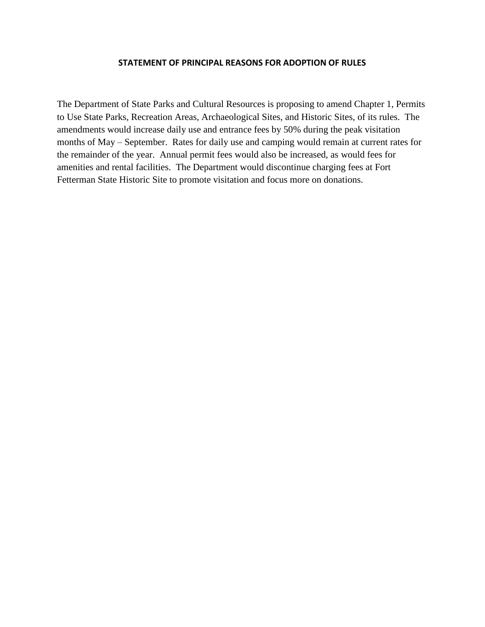#### **STATEMENT OF PRINCIPAL REASONS FOR ADOPTION OF RULES**

The Department of State Parks and Cultural Resources is proposing to amend Chapter 1, Permits to Use State Parks, Recreation Areas, Archaeological Sites, and Historic Sites, of its rules. The amendments would increase daily use and entrance fees by 50% during the peak visitation months of May – September. Rates for daily use and camping would remain at current rates for the remainder of the year. Annual permit fees would also be increased, as would fees for amenities and rental facilities. The Department would discontinue charging fees at Fort Fetterman State Historic Site to promote visitation and focus more on donations.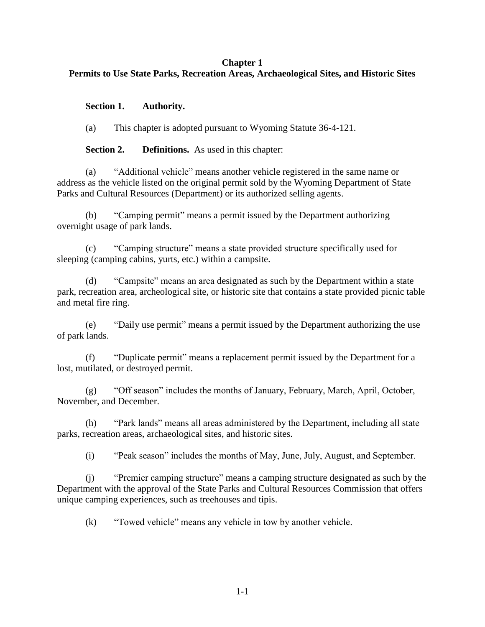#### **Chapter 1**

# **Permits to Use State Parks, Recreation Areas, Archaeological Sites, and Historic Sites**

## **Section 1. Authority.**

(a) This chapter is adopted pursuant to Wyoming Statute 36-4-121.

**Section 2. Definitions.** As used in this chapter:

(a) "Additional vehicle" means another vehicle registered in the same name or address as the vehicle listed on the original permit sold by the Wyoming Department of State Parks and Cultural Resources (Department) or its authorized selling agents.

(b) "Camping permit" means a permit issued by the Department authorizing overnight usage of park lands.

(c) "Camping structure" means a state provided structure specifically used for sleeping (camping cabins, yurts, etc.) within a campsite.

(d) "Campsite" means an area designated as such by the Department within a state park, recreation area, archeological site, or historic site that contains a state provided picnic table and metal fire ring.

(e) "Daily use permit" means a permit issued by the Department authorizing the use of park lands.

(f) "Duplicate permit" means a replacement permit issued by the Department for a lost, mutilated, or destroyed permit.

(g) "Off season" includes the months of January, February, March, April, October, November, and December.

(h) "Park lands" means all areas administered by the Department, including all state parks, recreation areas, archaeological sites, and historic sites.

(i) "Peak season" includes the months of May, June, July, August, and September.

(j) "Premier camping structure" means a camping structure designated as such by the Department with the approval of the State Parks and Cultural Resources Commission that offers unique camping experiences, such as treehouses and tipis.

(k) "Towed vehicle" means any vehicle in tow by another vehicle.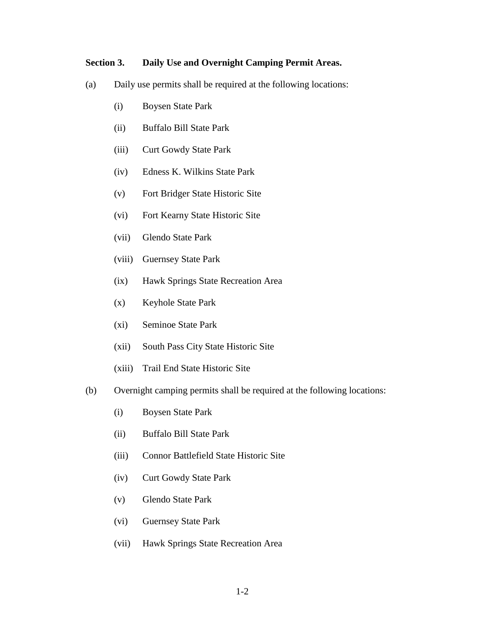#### **Section 3. Daily Use and Overnight Camping Permit Areas.**

- (a) Daily use permits shall be required at the following locations:
	- (i) Boysen State Park
	- (ii) Buffalo Bill State Park
	- (iii) Curt Gowdy State Park
	- (iv) Edness K. Wilkins State Park
	- (v) Fort Bridger State Historic Site
	- (vi) Fort Kearny State Historic Site
	- (vii) Glendo State Park
	- (viii) Guernsey State Park
	- (ix) Hawk Springs State Recreation Area
	- (x) Keyhole State Park
	- (xi) Seminoe State Park
	- (xii) South Pass City State Historic Site
	- (xiii) Trail End State Historic Site
- (b) Overnight camping permits shall be required at the following locations:
	- (i) Boysen State Park
	- (ii) Buffalo Bill State Park
	- (iii) Connor Battlefield State Historic Site
	- (iv) Curt Gowdy State Park
	- (v) Glendo State Park
	- (vi) Guernsey State Park
	- (vii) Hawk Springs State Recreation Area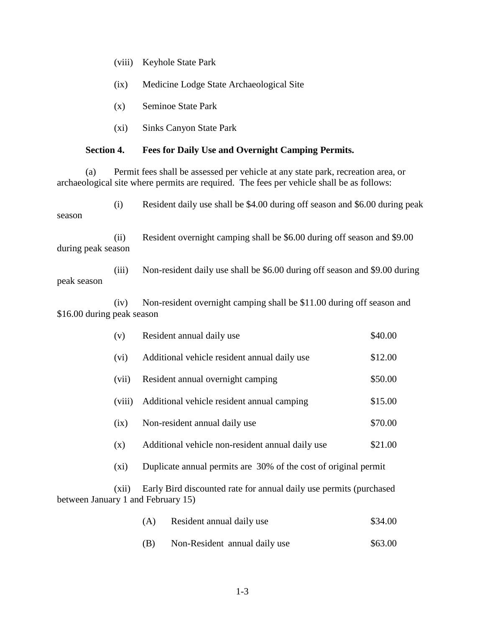- (ix) Medicine Lodge State Archaeological Site
- (x) Seminoe State Park
- (xi) Sinks Canyon State Park

#### **Section 4. Fees for Daily Use and Overnight Camping Permits.**

(a) Permit fees shall be assessed per vehicle at any state park, recreation area, or archaeological site where permits are required. The fees per vehicle shall be as follows:

(i) Resident daily use shall be \$4.00 during off season and \$6.00 during peak season

(ii) Resident overnight camping shall be \$6.00 during off season and \$9.00 during peak season

(iii) Non-resident daily use shall be \$6.00 during off season and \$9.00 during peak season

(iv) Non-resident overnight camping shall be \$11.00 during off season and \$16.00 during peak season

| (v)     | Resident annual daily use                                       | \$40.00 |
|---------|-----------------------------------------------------------------|---------|
| (vi)    | Additional vehicle resident annual daily use                    | \$12.00 |
| (vii)   | Resident annual overnight camping                               | \$50.00 |
| (viii)  | Additional vehicle resident annual camping                      | \$15.00 |
| (ix)    | Non-resident annual daily use                                   | \$70.00 |
| (x)     | Additional vehicle non-resident annual daily use                | \$21.00 |
| $(x_i)$ | Duplicate annual permits are 30% of the cost of original permit |         |
|         |                                                                 |         |

(xii) Early Bird discounted rate for annual daily use permits (purchased between January 1 and February 15)

| (A) | Resident annual daily use | \$34.00 |
|-----|---------------------------|---------|
|-----|---------------------------|---------|

(B) Non-Resident annual daily use \$63.00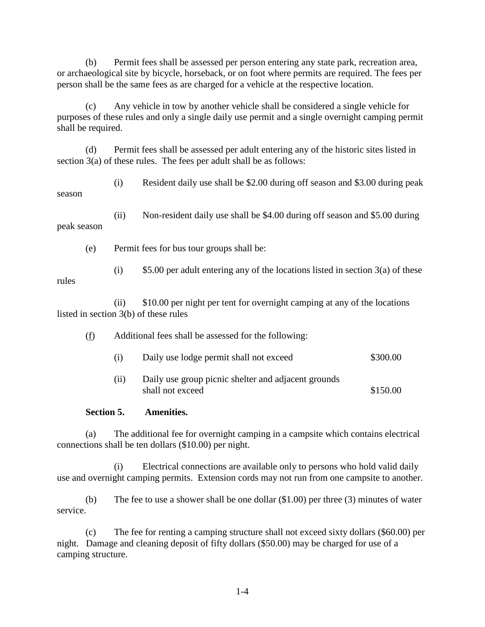(b) Permit fees shall be assessed per person entering any state park, recreation area, or archaeological site by bicycle, horseback, or on foot where permits are required. The fees per person shall be the same fees as are charged for a vehicle at the respective location.

(c) Any vehicle in tow by another vehicle shall be considered a single vehicle for purposes of these rules and only a single daily use permit and a single overnight camping permit shall be required.

(d) Permit fees shall be assessed per adult entering any of the historic sites listed in section 3(a) of these rules. The fees per adult shall be as follows:

(i) Resident daily use shall be \$2.00 during off season and \$3.00 during peak season

(ii) Non-resident daily use shall be \$4.00 during off season and \$5.00 during peak season

(e) Permit fees for bus tour groups shall be:

(i)  $$5.00$  per adult entering any of the locations listed in section 3(a) of these

rules

(ii) \$10.00 per night per tent for overnight camping at any of the locations listed in section 3(b) of these rules

- (f) Additional fees shall be assessed for the following:
	- (i) Daily use lodge permit shall not exceed \$300.00
	- (ii) Daily use group picnic shelter and adjacent grounds shall not exceed \$150.00

# **Section 5. Amenities.**

(a) The additional fee for overnight camping in a campsite which contains electrical connections shall be ten dollars (\$10.00) per night.

(i) Electrical connections are available only to persons who hold valid daily use and overnight camping permits. Extension cords may not run from one campsite to another.

(b) The fee to use a shower shall be one dollar (\$1.00) per three (3) minutes of water service.

(c) The fee for renting a camping structure shall not exceed sixty dollars (\$60.00) per night. Damage and cleaning deposit of fifty dollars (\$50.00) may be charged for use of a camping structure.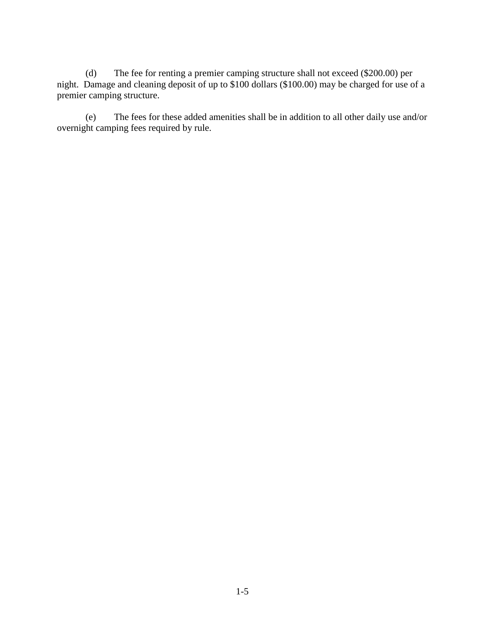(d) The fee for renting a premier camping structure shall not exceed (\$200.00) per night. Damage and cleaning deposit of up to \$100 dollars (\$100.00) may be charged for use of a premier camping structure.

(e) The fees for these added amenities shall be in addition to all other daily use and/or overnight camping fees required by rule.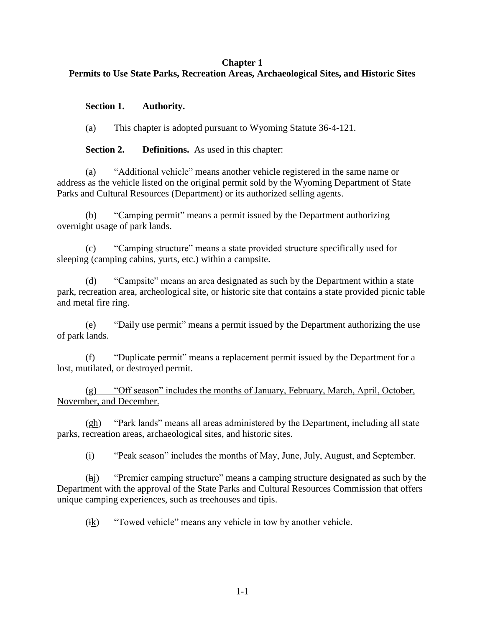#### **Chapter 1**

# **Permits to Use State Parks, Recreation Areas, Archaeological Sites, and Historic Sites**

## **Section 1. Authority.**

(a) This chapter is adopted pursuant to Wyoming Statute 36-4-121.

**Section 2. Definitions.** As used in this chapter:

(a) "Additional vehicle" means another vehicle registered in the same name or address as the vehicle listed on the original permit sold by the Wyoming Department of State Parks and Cultural Resources (Department) or its authorized selling agents.

(b) "Camping permit" means a permit issued by the Department authorizing overnight usage of park lands.

(c) "Camping structure" means a state provided structure specifically used for sleeping (camping cabins, yurts, etc.) within a campsite.

(d) "Campsite" means an area designated as such by the Department within a state park, recreation area, archeological site, or historic site that contains a state provided picnic table and metal fire ring.

(e) "Daily use permit" means a permit issued by the Department authorizing the use of park lands.

(f) "Duplicate permit" means a replacement permit issued by the Department for a lost, mutilated, or destroyed permit.

(g) "Off season" includes the months of January, February, March, April, October, November, and December.

(gh) "Park lands" means all areas administered by the Department, including all state parks, recreation areas, archaeological sites, and historic sites.

(i) "Peak season" includes the months of May, June, July, August, and September.

(hj) "Premier camping structure" means a camping structure designated as such by the Department with the approval of the State Parks and Cultural Resources Commission that offers unique camping experiences, such as treehouses and tipis.

(ik) "Towed vehicle" means any vehicle in tow by another vehicle.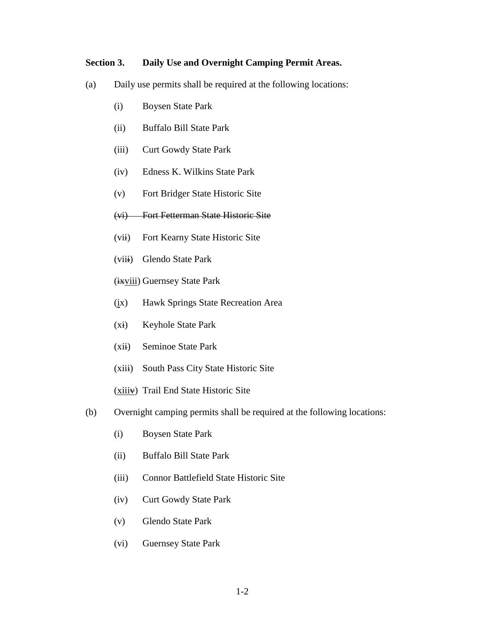#### **Section 3. Daily Use and Overnight Camping Permit Areas.**

- (a) Daily use permits shall be required at the following locations:
	- (i) Boysen State Park
	- (ii) Buffalo Bill State Park
	- (iii) Curt Gowdy State Park
	- (iv) Edness K. Wilkins State Park
	- (v) Fort Bridger State Historic Site
	- (vi) Fort Fetterman State Historic Site
	- (vii) Fort Kearny State Historic Site
	- (viii) Glendo State Park
	- (ixviii) Guernsey State Park
	- (ix) Hawk Springs State Recreation Area
	- (xi) Keyhole State Park
	- (xii) Seminoe State Park
	- (xiii) South Pass City State Historic Site
	- (xiiiv) Trail End State Historic Site
- (b) Overnight camping permits shall be required at the following locations:
	- (i) Boysen State Park
	- (ii) Buffalo Bill State Park
	- (iii) Connor Battlefield State Historic Site
	- (iv) Curt Gowdy State Park
	- (v) Glendo State Park
	- (vi) Guernsey State Park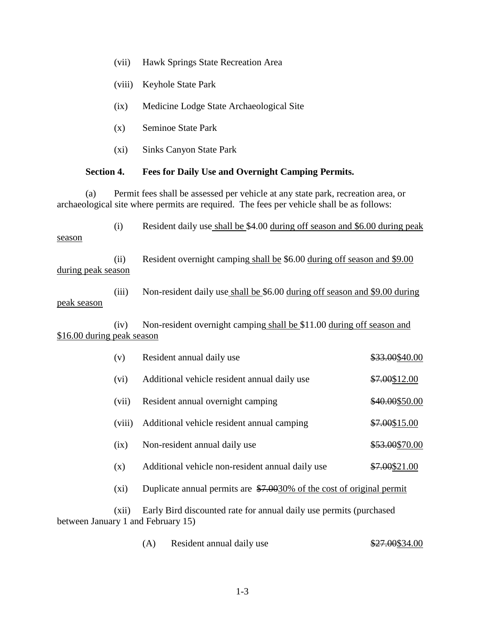|                                                                                                                                                                                      | (viii)  | Keyhole State Park                                                          |                |  |  |
|--------------------------------------------------------------------------------------------------------------------------------------------------------------------------------------|---------|-----------------------------------------------------------------------------|----------------|--|--|
|                                                                                                                                                                                      | (ix)    | Medicine Lodge State Archaeological Site                                    |                |  |  |
|                                                                                                                                                                                      | (x)     | <b>Seminoe State Park</b>                                                   |                |  |  |
|                                                                                                                                                                                      | (xi)    | <b>Sinks Canyon State Park</b>                                              |                |  |  |
| <b>Section 4.</b><br>Fees for Daily Use and Overnight Camping Permits.                                                                                                               |         |                                                                             |                |  |  |
| Permit fees shall be assessed per vehicle at any state park, recreation area, or<br>(a)<br>archaeological site where permits are required. The fees per vehicle shall be as follows: |         |                                                                             |                |  |  |
| season                                                                                                                                                                               | (i)     | Resident daily use shall be \$4.00 during off season and \$6.00 during peak |                |  |  |
| during peak season                                                                                                                                                                   | (ii)    | Resident overnight camping shall be \$6.00 during off season and \$9.00     |                |  |  |
| peak season                                                                                                                                                                          | (iii)   | Non-resident daily use shall be \$6.00 during off season and \$9.00 during  |                |  |  |
| \$16.00 during peak season                                                                                                                                                           | (iv)    | Non-resident overnight camping shall be \$11.00 during off season and       |                |  |  |
|                                                                                                                                                                                      | (v)     | Resident annual daily use                                                   | \$33.00\$40.00 |  |  |
|                                                                                                                                                                                      | (vi)    | Additional vehicle resident annual daily use                                | \$7.00\$12.00  |  |  |
|                                                                                                                                                                                      | (vii)   | Resident annual overnight camping                                           | \$40.00\$50.00 |  |  |
|                                                                                                                                                                                      | (viii)  | Additional vehicle resident annual camping                                  | \$7.00\$15.00  |  |  |
|                                                                                                                                                                                      | (ix)    | Non-resident annual daily use                                               | \$53.00\$70.00 |  |  |
|                                                                                                                                                                                      | (x)     | Additional vehicle non-resident annual daily use                            | \$7.00\$21.00  |  |  |
|                                                                                                                                                                                      | $(x_i)$ | Duplicate annual permits are \$7.0030% of the cost of original permit       |                |  |  |
| (xii)<br>Early Bird discounted rate for annual daily use permits (purchased<br>between January 1 and February 15)                                                                    |         |                                                                             |                |  |  |
|                                                                                                                                                                                      |         | Resident annual daily use<br>(A)                                            | \$27.00\$34.00 |  |  |
|                                                                                                                                                                                      |         |                                                                             |                |  |  |

(vii) Hawk Springs State Recreation Area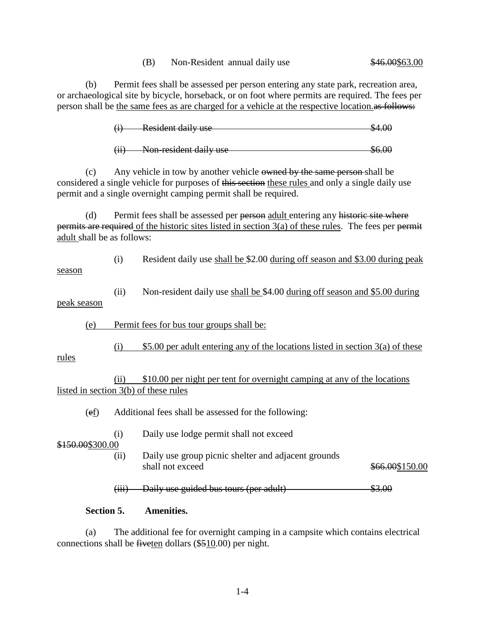(B) Non-Resident annual daily use \$46.00\$63.00

(b) Permit fees shall be assessed per person entering any state park, recreation area, or archaeological site by bicycle, horseback, or on foot where permits are required. The fees per person shall be the same fees as are charged for a vehicle at the respective location.

 $(i)$  Resident daily use  $$4.00$ 

(ii) Non-resident daily use \$6.00

(c) Any vehicle in tow by another vehicle owned by the same person shall be considered a single vehicle for purposes of this section these rules and only a single daily use permit and a single overnight camping permit shall be required.

(d) Permit fees shall be assessed per person adult entering any historic site where permits are required of the historic sites listed in section  $3(a)$  of these rules. The fees per permit adult shall be as follows:

(i) Resident daily use shall be \$2.00 during off season and \$3.00 during peak season

(ii) Non-resident daily use shall be \$4.00 during off season and \$5.00 during peak season

(e) Permit fees for bus tour groups shall be:

(i)  $$5.00$  per adult entering any of the locations listed in section 3(a) of these

(ii) \$10.00 per night per tent for overnight camping at any of the locations listed in section 3(b) of these rules

(ef) Additional fees shall be assessed for the following:

(i) Daily use lodge permit shall not exceed

\$150.00\$300.00

rules

(ii) Daily use group picnic shelter and adjacent grounds shall not exceed \$66.00\$150.00

 $(iii)$  Daily use guided bus tours (per adult)  $$3.00$ 

#### **Section 5. Amenities.**

(a) The additional fee for overnight camping in a campsite which contains electrical connections shall be fiveten dollars (\$510.00) per night.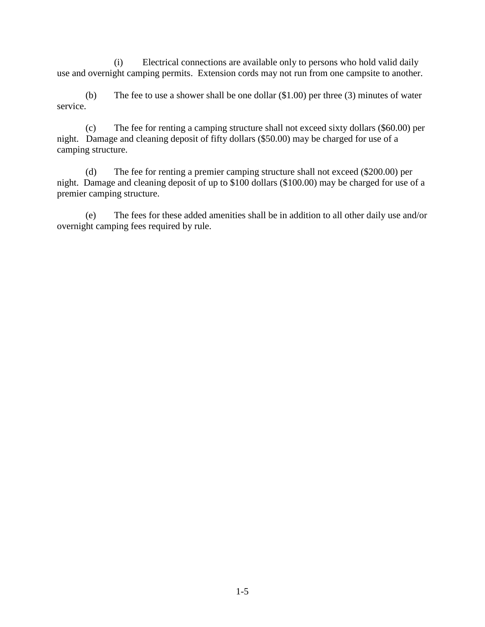(i) Electrical connections are available only to persons who hold valid daily use and overnight camping permits. Extension cords may not run from one campsite to another.

(b) The fee to use a shower shall be one dollar (\$1.00) per three (3) minutes of water service.

(c) The fee for renting a camping structure shall not exceed sixty dollars (\$60.00) per night. Damage and cleaning deposit of fifty dollars (\$50.00) may be charged for use of a camping structure.

(d) The fee for renting a premier camping structure shall not exceed (\$200.00) per night. Damage and cleaning deposit of up to \$100 dollars (\$100.00) may be charged for use of a premier camping structure.

(e) The fees for these added amenities shall be in addition to all other daily use and/or overnight camping fees required by rule.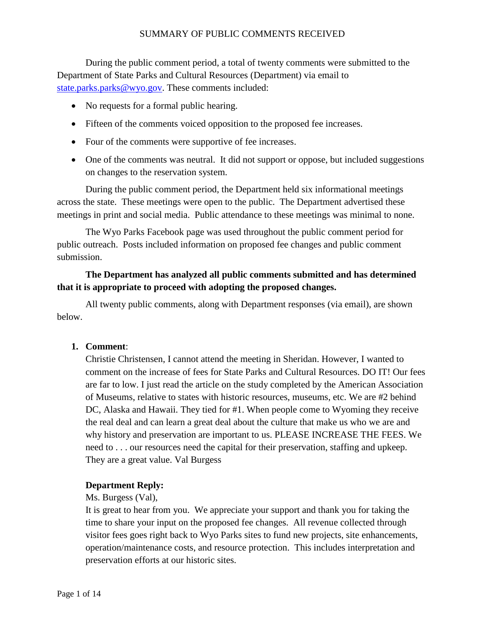During the public comment period, a total of twenty comments were submitted to the Department of State Parks and Cultural Resources (Department) via email to [state.parks.parks@wyo.gov.](mailto:state.parks.parks@wyo.gov) These comments included:

- No requests for a formal public hearing.
- Fifteen of the comments voiced opposition to the proposed fee increases.
- Four of the comments were supportive of fee increases.
- One of the comments was neutral. It did not support or oppose, but included suggestions on changes to the reservation system.

During the public comment period, the Department held six informational meetings across the state. These meetings were open to the public. The Department advertised these meetings in print and social media. Public attendance to these meetings was minimal to none.

The Wyo Parks Facebook page was used throughout the public comment period for public outreach. Posts included information on proposed fee changes and public comment submission.

# **The Department has analyzed all public comments submitted and has determined that it is appropriate to proceed with adopting the proposed changes.**

All twenty public comments, along with Department responses (via email), are shown below.

### **1. Comment**:

Christie Christensen, I cannot attend the meeting in Sheridan. However, I wanted to comment on the increase of fees for State Parks and Cultural Resources. DO IT! Our fees are far to low. I just read the article on the study completed by the American Association of Museums, relative to states with historic resources, museums, etc. We are #2 behind DC, Alaska and Hawaii. They tied for #1. When people come to Wyoming they receive the real deal and can learn a great deal about the culture that make us who we are and why history and preservation are important to us. PLEASE INCREASE THE FEES. We need to . . . our resources need the capital for their preservation, staffing and upkeep. They are a great value. Val Burgess

### **Department Reply:**

Ms. Burgess (Val),

It is great to hear from you. We appreciate your support and thank you for taking the time to share your input on the proposed fee changes. All revenue collected through visitor fees goes right back to Wyo Parks sites to fund new projects, site enhancements, operation/maintenance costs, and resource protection. This includes interpretation and preservation efforts at our historic sites.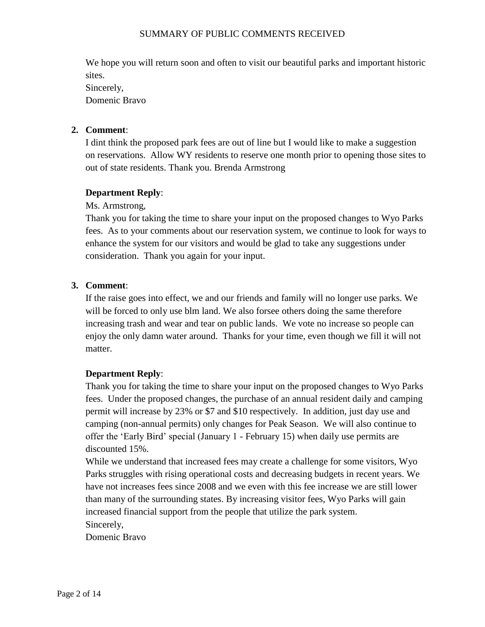We hope you will return soon and often to visit our beautiful parks and important historic sites. Sincerely, Domenic Bravo

## **2. Comment**:

I dint think the proposed park fees are out of line but I would like to make a suggestion on reservations. Allow WY residents to reserve one month prior to opening those sites to out of state residents. Thank you. Brenda Armstrong

## **Department Reply**:

Ms. Armstrong,

Thank you for taking the time to share your input on the proposed changes to Wyo Parks fees. As to your comments about our reservation system, we continue to look for ways to enhance the system for our visitors and would be glad to take any suggestions under consideration. Thank you again for your input.

## **3. Comment**:

If the raise goes into effect, we and our friends and family will no longer use parks. We will be forced to only use blm land. We also forsee others doing the same therefore increasing trash and wear and tear on public lands. We vote no increase so people can enjoy the only damn water around. Thanks for your time, even though we fill it will not matter.

### **Department Reply**:

Thank you for taking the time to share your input on the proposed changes to Wyo Parks fees. Under the proposed changes, the purchase of an annual resident daily and camping permit will increase by 23% or \$7 and \$10 respectively. In addition, just day use and camping (non-annual permits) only changes for Peak Season. We will also continue to offer the 'Early Bird' special (January 1 - February 15) when daily use permits are discounted 15%.

While we understand that increased fees may create a challenge for some visitors, Wyo Parks struggles with rising operational costs and decreasing budgets in recent years. We have not increases fees since 2008 and we even with this fee increase we are still lower than many of the surrounding states. By increasing visitor fees, Wyo Parks will gain increased financial support from the people that utilize the park system. Sincerely,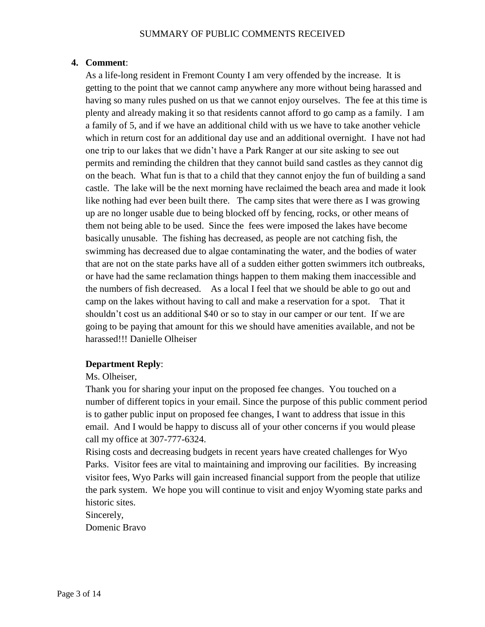As a life-long resident in Fremont County I am very offended by the increase. It is getting to the point that we cannot camp anywhere any more without being harassed and having so many rules pushed on us that we cannot enjoy ourselves. The fee at this time is plenty and already making it so that residents cannot afford to go camp as a family. I am a family of 5, and if we have an additional child with us we have to take another vehicle which in return cost for an additional day use and an additional overnight. I have not had one trip to our lakes that we didn't have a Park Ranger at our site asking to see out permits and reminding the children that they cannot build sand castles as they cannot dig on the beach. What fun is that to a child that they cannot enjoy the fun of building a sand castle. The lake will be the next morning have reclaimed the beach area and made it look like nothing had ever been built there. The camp sites that were there as I was growing up are no longer usable due to being blocked off by fencing, rocks, or other means of them not being able to be used. Since the fees were imposed the lakes have become basically unusable. The fishing has decreased, as people are not catching fish, the swimming has decreased due to algae contaminating the water, and the bodies of water that are not on the state parks have all of a sudden either gotten swimmers itch outbreaks, or have had the same reclamation things happen to them making them inaccessible and the numbers of fish decreased. As a local I feel that we should be able to go out and camp on the lakes without having to call and make a reservation for a spot. That it shouldn't cost us an additional \$40 or so to stay in our camper or our tent. If we are going to be paying that amount for this we should have amenities available, and not be harassed!!! Danielle Olheiser

# **Department Reply**:

Ms. Olheiser,

Thank you for sharing your input on the proposed fee changes. You touched on a number of different topics in your email. Since the purpose of this public comment period is to gather public input on proposed fee changes, I want to address that issue in this email. And I would be happy to discuss all of your other concerns if you would please call my office at 307-777-6324.

Rising costs and decreasing budgets in recent years have created challenges for Wyo Parks. Visitor fees are vital to maintaining and improving our facilities. By increasing visitor fees, Wyo Parks will gain increased financial support from the people that utilize the park system. We hope you will continue to visit and enjoy Wyoming state parks and historic sites.

Sincerely,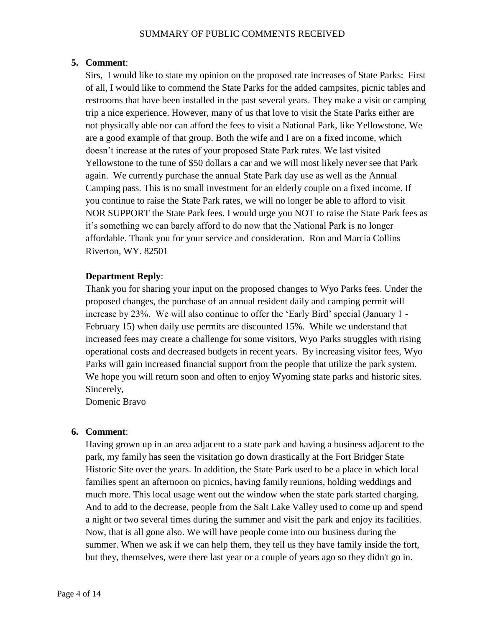Sirs, I would like to state my opinion on the proposed rate increases of State Parks: First of all, I would like to commend the State Parks for the added campsites, picnic tables and restrooms that have been installed in the past several years. They make a visit or camping trip a nice experience. However, many of us that love to visit the State Parks either are not physically able nor can afford the fees to visit a National Park, like Yellowstone. We are a good example of that group. Both the wife and I are on a fixed income, which doesn't increase at the rates of your proposed State Park rates. We last visited Yellowstone to the tune of \$50 dollars a car and we will most likely never see that Park again. We currently purchase the annual State Park day use as well as the Annual Camping pass. This is no small investment for an elderly couple on a fixed income. If you continue to raise the State Park rates, we will no longer be able to afford to visit NOR SUPPORT the State Park fees. I would urge you NOT to raise the State Park fees as it's something we can barely afford to do now that the National Park is no longer affordable. Thank you for your service and consideration. Ron and Marcia Collins Riverton, WY. 82501

## **Department Reply**:

Thank you for sharing your input on the proposed changes to Wyo Parks fees. Under the proposed changes, the purchase of an annual resident daily and camping permit will increase by 23%. We will also continue to offer the 'Early Bird' special (January 1 - February 15) when daily use permits are discounted 15%. While we understand that increased fees may create a challenge for some visitors, Wyo Parks struggles with rising operational costs and decreased budgets in recent years. By increasing visitor fees, Wyo Parks will gain increased financial support from the people that utilize the park system. We hope you will return soon and often to enjoy Wyoming state parks and historic sites. Sincerely,

Domenic Bravo

### **6. Comment**:

Having grown up in an area adjacent to a state park and having a business adjacent to the park, my family has seen the visitation go down drastically at the Fort Bridger State Historic Site over the years. In addition, the State Park used to be a place in which local families spent an afternoon on picnics, having family reunions, holding weddings and much more. This local usage went out the window when the state park started charging. And to add to the decrease, people from the Salt Lake Valley used to come up and spend a night or two several times during the summer and visit the park and enjoy its facilities. Now, that is all gone also. We will have people come into our business during the summer. When we ask if we can help them, they tell us they have family inside the fort, but they, themselves, were there last year or a couple of years ago so they didn't go in.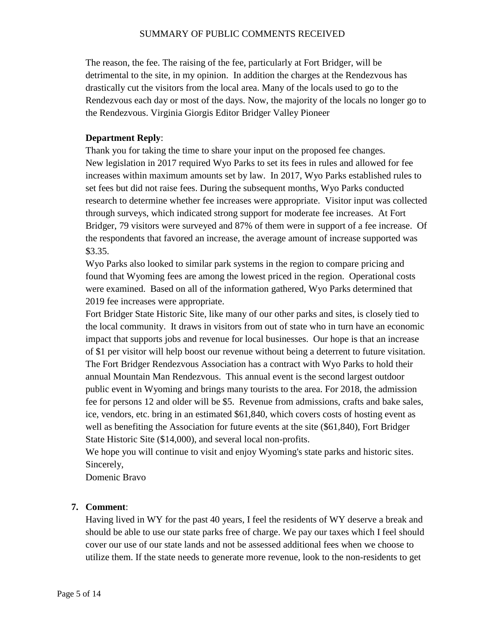The reason, the fee. The raising of the fee, particularly at Fort Bridger, will be detrimental to the site, in my opinion. In addition the charges at the Rendezvous has drastically cut the visitors from the local area. Many of the locals used to go to the Rendezvous each day or most of the days. Now, the majority of the locals no longer go to the Rendezvous. Virginia Giorgis Editor Bridger Valley Pioneer

### **Department Reply**:

Thank you for taking the time to share your input on the proposed fee changes. New legislation in 2017 required Wyo Parks to set its fees in rules and allowed for fee increases within maximum amounts set by law. In 2017, Wyo Parks established rules to set fees but did not raise fees. During the subsequent months, Wyo Parks conducted research to determine whether fee increases were appropriate. Visitor input was collected through surveys, which indicated strong support for moderate fee increases. At Fort Bridger, 79 visitors were surveyed and 87% of them were in support of a fee increase. Of the respondents that favored an increase, the average amount of increase supported was \$3.35.

Wyo Parks also looked to similar park systems in the region to compare pricing and found that Wyoming fees are among the lowest priced in the region. Operational costs were examined. Based on all of the information gathered, Wyo Parks determined that 2019 fee increases were appropriate.

Fort Bridger State Historic Site, like many of our other parks and sites, is closely tied to the local community. It draws in visitors from out of state who in turn have an economic impact that supports jobs and revenue for local businesses. Our hope is that an increase of \$1 per visitor will help boost our revenue without being a deterrent to future visitation. The Fort Bridger Rendezvous Association has a contract with Wyo Parks to hold their annual Mountain Man Rendezvous. This annual event is the second largest outdoor public event in Wyoming and brings many tourists to the area. For 2018, the admission fee for persons 12 and older will be \$5. Revenue from admissions, crafts and bake sales, ice, vendors, etc. bring in an estimated \$61,840, which covers costs of hosting event as well as benefiting the Association for future events at the site (\$61,840), Fort Bridger State Historic Site (\$14,000), and several local non-profits.

We hope you will continue to visit and enjoy Wyoming's state parks and historic sites. Sincerely,

Domenic Bravo

# **7. Comment**:

Having lived in WY for the past 40 years, I feel the residents of WY deserve a break and should be able to use our state parks free of charge. We pay our taxes which I feel should cover our use of our state lands and not be assessed additional fees when we choose to utilize them. If the state needs to generate more revenue, look to the non-residents to get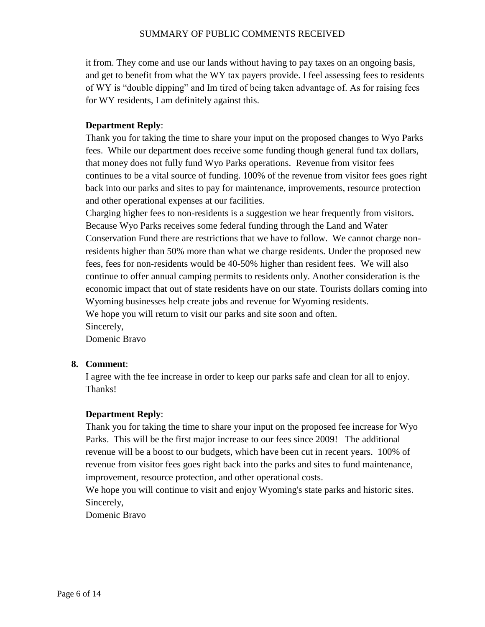it from. They come and use our lands without having to pay taxes on an ongoing basis, and get to benefit from what the WY tax payers provide. I feel assessing fees to residents of WY is "double dipping" and Im tired of being taken advantage of. As for raising fees for WY residents, I am definitely against this.

## **Department Reply**:

Thank you for taking the time to share your input on the proposed changes to Wyo Parks fees. While our department does receive some funding though general fund tax dollars, that money does not fully fund Wyo Parks operations. Revenue from visitor fees continues to be a vital source of funding. 100% of the revenue from visitor fees goes right back into our parks and sites to pay for maintenance, improvements, resource protection and other operational expenses at our facilities.

Charging higher fees to non-residents is a suggestion we hear frequently from visitors. Because Wyo Parks receives some federal funding through the Land and Water Conservation Fund there are restrictions that we have to follow. We cannot charge nonresidents higher than 50% more than what we charge residents. Under the proposed new fees, fees for non-residents would be 40-50% higher than resident fees. We will also continue to offer annual camping permits to residents only. Another consideration is the economic impact that out of state residents have on our state. Tourists dollars coming into Wyoming businesses help create jobs and revenue for Wyoming residents. We hope you will return to visit our parks and site soon and often. Sincerely,

Domenic Bravo

# **8. Comment**:

I agree with the fee increase in order to keep our parks safe and clean for all to enjoy. Thanks!

# **Department Reply**:

Thank you for taking the time to share your input on the proposed fee increase for Wyo Parks. This will be the first major increase to our fees since 2009! The additional revenue will be a boost to our budgets, which have been cut in recent years. 100% of revenue from visitor fees goes right back into the parks and sites to fund maintenance, improvement, resource protection, and other operational costs.

We hope you will continue to visit and enjoy Wyoming's state parks and historic sites. Sincerely,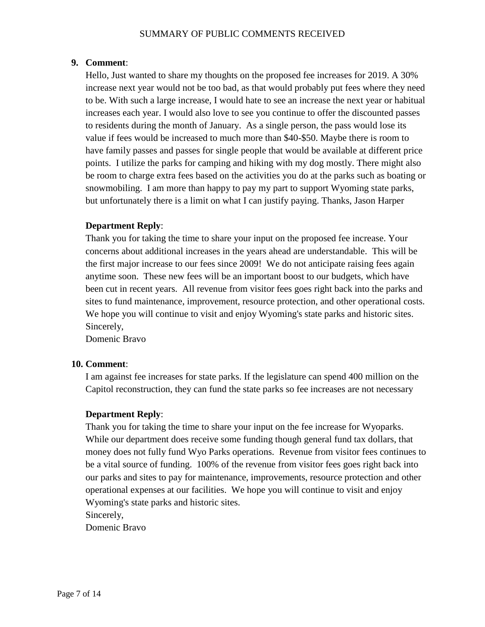Hello, Just wanted to share my thoughts on the proposed fee increases for 2019. A 30% increase next year would not be too bad, as that would probably put fees where they need to be. With such a large increase, I would hate to see an increase the next year or habitual increases each year. I would also love to see you continue to offer the discounted passes to residents during the month of January. As a single person, the pass would lose its value if fees would be increased to much more than \$40-\$50. Maybe there is room to have family passes and passes for single people that would be available at different price points. I utilize the parks for camping and hiking with my dog mostly. There might also be room to charge extra fees based on the activities you do at the parks such as boating or snowmobiling. I am more than happy to pay my part to support Wyoming state parks, but unfortunately there is a limit on what I can justify paying. Thanks, Jason Harper

## **Department Reply**:

Thank you for taking the time to share your input on the proposed fee increase. Your concerns about additional increases in the years ahead are understandable. This will be the first major increase to our fees since 2009! We do not anticipate raising fees again anytime soon. These new fees will be an important boost to our budgets, which have been cut in recent years. All revenue from visitor fees goes right back into the parks and sites to fund maintenance, improvement, resource protection, and other operational costs. We hope you will continue to visit and enjoy Wyoming's state parks and historic sites. Sincerely,

Domenic Bravo

### **10. Comment**:

I am against fee increases for state parks. If the legislature can spend 400 million on the Capitol reconstruction, they can fund the state parks so fee increases are not necessary

### **Department Reply**:

Thank you for taking the time to share your input on the fee increase for Wyoparks. While our department does receive some funding though general fund tax dollars, that money does not fully fund Wyo Parks operations. Revenue from visitor fees continues to be a vital source of funding. 100% of the revenue from visitor fees goes right back into our parks and sites to pay for maintenance, improvements, resource protection and other operational expenses at our facilities. We hope you will continue to visit and enjoy Wyoming's state parks and historic sites.

Sincerely,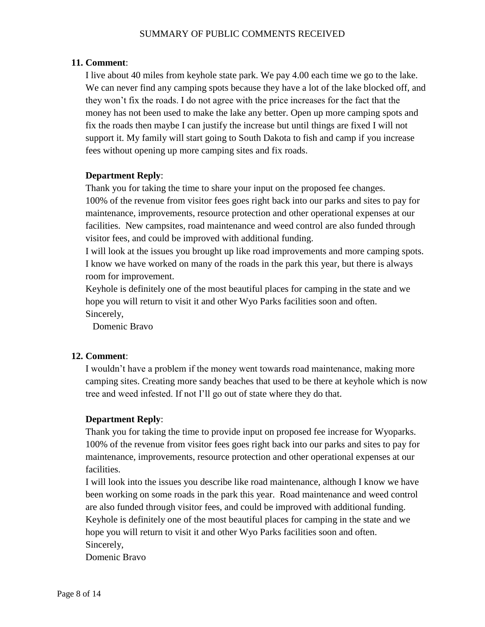I live about 40 miles from keyhole state park. We pay 4.00 each time we go to the lake. We can never find any camping spots because they have a lot of the lake blocked off, and they won't fix the roads. I do not agree with the price increases for the fact that the money has not been used to make the lake any better. Open up more camping spots and fix the roads then maybe I can justify the increase but until things are fixed I will not support it. My family will start going to South Dakota to fish and camp if you increase fees without opening up more camping sites and fix roads.

## **Department Reply**:

Thank you for taking the time to share your input on the proposed fee changes. 100% of the revenue from visitor fees goes right back into our parks and sites to pay for maintenance, improvements, resource protection and other operational expenses at our facilities. New campsites, road maintenance and weed control are also funded through visitor fees, and could be improved with additional funding.

I will look at the issues you brought up like road improvements and more camping spots. I know we have worked on many of the roads in the park this year, but there is always room for improvement.

Keyhole is definitely one of the most beautiful places for camping in the state and we hope you will return to visit it and other Wyo Parks facilities soon and often. Sincerely,

Domenic Bravo

## **12. Comment**:

I wouldn't have a problem if the money went towards road maintenance, making more camping sites. Creating more sandy beaches that used to be there at keyhole which is now tree and weed infested. If not I'll go out of state where they do that.

# **Department Reply**:

Thank you for taking the time to provide input on proposed fee increase for Wyoparks. 100% of the revenue from visitor fees goes right back into our parks and sites to pay for maintenance, improvements, resource protection and other operational expenses at our facilities.

I will look into the issues you describe like road maintenance, although I know we have been working on some roads in the park this year. Road maintenance and weed control are also funded through visitor fees, and could be improved with additional funding. Keyhole is definitely one of the most beautiful places for camping in the state and we hope you will return to visit it and other Wyo Parks facilities soon and often. Sincerely,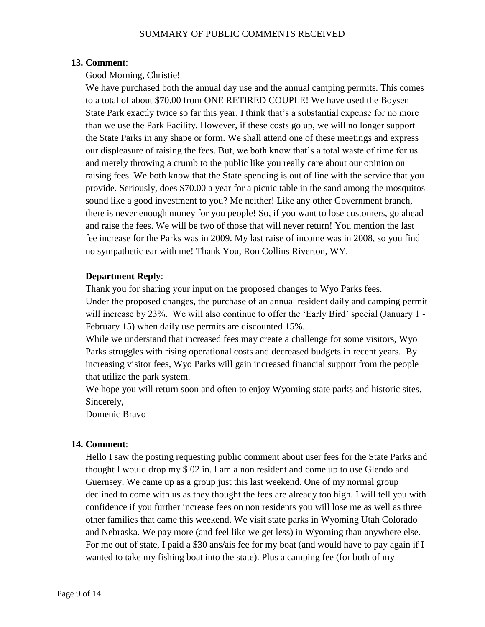## Good Morning, Christie!

We have purchased both the annual day use and the annual camping permits. This comes to a total of about \$70.00 from ONE RETIRED COUPLE! We have used the Boysen State Park exactly twice so far this year. I think that's a substantial expense for no more than we use the Park Facility. However, if these costs go up, we will no longer support the State Parks in any shape or form. We shall attend one of these meetings and express our displeasure of raising the fees. But, we both know that's a total waste of time for us and merely throwing a crumb to the public like you really care about our opinion on raising fees. We both know that the State spending is out of line with the service that you provide. Seriously, does \$70.00 a year for a picnic table in the sand among the mosquitos sound like a good investment to you? Me neither! Like any other Government branch, there is never enough money for you people! So, if you want to lose customers, go ahead and raise the fees. We will be two of those that will never return! You mention the last fee increase for the Parks was in 2009. My last raise of income was in 2008, so you find no sympathetic ear with me! Thank You, Ron Collins Riverton, WY.

### **Department Reply**:

Thank you for sharing your input on the proposed changes to Wyo Parks fees.

Under the proposed changes, the purchase of an annual resident daily and camping permit will increase by 23%. We will also continue to offer the 'Early Bird' special (January 1 - February 15) when daily use permits are discounted 15%.

While we understand that increased fees may create a challenge for some visitors, Wyo Parks struggles with rising operational costs and decreased budgets in recent years. By increasing visitor fees, Wyo Parks will gain increased financial support from the people that utilize the park system.

We hope you will return soon and often to enjoy Wyoming state parks and historic sites. Sincerely,

Domenic Bravo

# **14. Comment**:

Hello I saw the posting requesting public comment about user fees for the State Parks and thought I would drop my \$.02 in. I am a non resident and come up to use Glendo and Guernsey. We came up as a group just this last weekend. One of my normal group declined to come with us as they thought the fees are already too high. I will tell you with confidence if you further increase fees on non residents you will lose me as well as three other families that came this weekend. We visit state parks in Wyoming Utah Colorado and Nebraska. We pay more (and feel like we get less) in Wyoming than anywhere else. For me out of state, I paid a \$30 ans/ais fee for my boat (and would have to pay again if I wanted to take my fishing boat into the state). Plus a camping fee (for both of my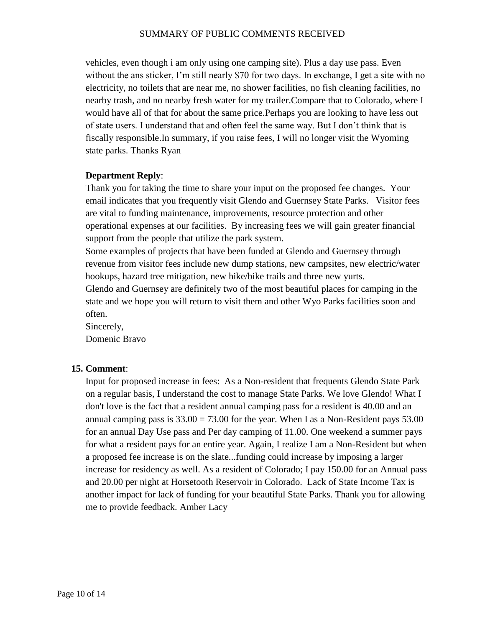vehicles, even though i am only using one camping site). Plus a day use pass. Even without the ans sticker, I'm still nearly \$70 for two days. In exchange, I get a site with no electricity, no toilets that are near me, no shower facilities, no fish cleaning facilities, no nearby trash, and no nearby fresh water for my trailer.Compare that to Colorado, where I would have all of that for about the same price.Perhaps you are looking to have less out of state users. I understand that and often feel the same way. But I don't think that is fiscally responsible.In summary, if you raise fees, I will no longer visit the Wyoming state parks. Thanks Ryan

### **Department Reply**:

Thank you for taking the time to share your input on the proposed fee changes. Your email indicates that you frequently visit Glendo and Guernsey State Parks. Visitor fees are vital to funding maintenance, improvements, resource protection and other operational expenses at our facilities. By increasing fees we will gain greater financial support from the people that utilize the park system.

Some examples of projects that have been funded at Glendo and Guernsey through revenue from visitor fees include new dump stations, new campsites, new electric/water hookups, hazard tree mitigation, new hike/bike trails and three new yurts.

Glendo and Guernsey are definitely two of the most beautiful places for camping in the state and we hope you will return to visit them and other Wyo Parks facilities soon and often.

Sincerely, Domenic Bravo

### **15. Comment**:

Input for proposed increase in fees: As a Non-resident that frequents Glendo State Park on a regular basis, I understand the cost to manage State Parks. We love Glendo! What I don't love is the fact that a resident annual camping pass for a resident is 40.00 and an annual camping pass is  $33.00 = 73.00$  for the year. When I as a Non-Resident pays  $53.00$ for an annual Day Use pass and Per day camping of 11.00. One weekend a summer pays for what a resident pays for an entire year. Again, I realize I am a Non-Resident but when a proposed fee increase is on the slate...funding could increase by imposing a larger increase for residency as well. As a resident of Colorado; I pay 150.00 for an Annual pass and 20.00 per night at Horsetooth Reservoir in Colorado. Lack of State Income Tax is another impact for lack of funding for your beautiful State Parks. Thank you for allowing me to provide feedback. Amber Lacy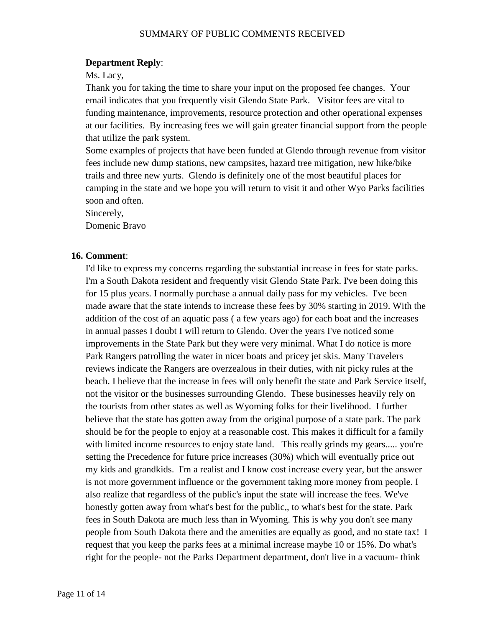#### **Department Reply**:

Ms. Lacy,

Thank you for taking the time to share your input on the proposed fee changes. Your email indicates that you frequently visit Glendo State Park. Visitor fees are vital to funding maintenance, improvements, resource protection and other operational expenses at our facilities. By increasing fees we will gain greater financial support from the people that utilize the park system.

Some examples of projects that have been funded at Glendo through revenue from visitor fees include new dump stations, new campsites, hazard tree mitigation, new hike/bike trails and three new yurts. Glendo is definitely one of the most beautiful places for camping in the state and we hope you will return to visit it and other Wyo Parks facilities soon and often.

Sincerely,

Domenic Bravo

#### **16. Comment**:

I'd like to express my concerns regarding the substantial increase in fees for state parks. I'm a South Dakota resident and frequently visit Glendo State Park. I've been doing this for 15 plus years. I normally purchase a annual daily pass for my vehicles. I've been made aware that the state intends to increase these fees by 30% starting in 2019. With the addition of the cost of an aquatic pass ( a few years ago) for each boat and the increases in annual passes I doubt I will return to Glendo. Over the years I've noticed some improvements in the State Park but they were very minimal. What I do notice is more Park Rangers patrolling the water in nicer boats and pricey jet skis. Many Travelers reviews indicate the Rangers are overzealous in their duties, with nit picky rules at the beach. I believe that the increase in fees will only benefit the state and Park Service itself, not the visitor or the businesses surrounding Glendo. These businesses heavily rely on the tourists from other states as well as Wyoming folks for their livelihood. I further believe that the state has gotten away from the original purpose of a state park. The park should be for the people to enjoy at a reasonable cost. This makes it difficult for a family with limited income resources to enjoy state land. This really grinds my gears..... you're setting the Precedence for future price increases (30%) which will eventually price out my kids and grandkids. I'm a realist and I know cost increase every year, but the answer is not more government influence or the government taking more money from people. I also realize that regardless of the public's input the state will increase the fees. We've honestly gotten away from what's best for the public,, to what's best for the state. Park fees in South Dakota are much less than in Wyoming. This is why you don't see many people from South Dakota there and the amenities are equally as good, and no state tax! I request that you keep the parks fees at a minimal increase maybe 10 or 15%. Do what's right for the people- not the Parks Department department, don't live in a vacuum- think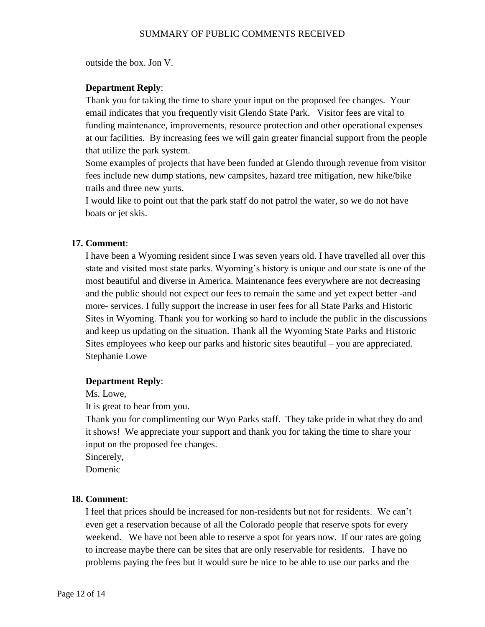outside the box. Jon V.

## **Department Reply**:

Thank you for taking the time to share your input on the proposed fee changes. Your email indicates that you frequently visit Glendo State Park. Visitor fees are vital to funding maintenance, improvements, resource protection and other operational expenses at our facilities. By increasing fees we will gain greater financial support from the people that utilize the park system.

Some examples of projects that have been funded at Glendo through revenue from visitor fees include new dump stations, new campsites, hazard tree mitigation, new hike/bike trails and three new yurts.

I would like to point out that the park staff do not patrol the water, so we do not have boats or jet skis.

### **17. Comment**:

I have been a Wyoming resident since I was seven years old. I have travelled all over this state and visited most state parks. Wyoming's history is unique and our state is one of the most beautiful and diverse in America. Maintenance fees everywhere are not decreasing and the public should not expect our fees to remain the same and yet expect better -and more- services. I fully support the increase in user fees for all State Parks and Historic Sites in Wyoming. Thank you for working so hard to include the public in the discussions and keep us updating on the situation. Thank all the Wyoming State Parks and Historic Sites employees who keep our parks and historic sites beautiful – you are appreciated. Stephanie Lowe

### **Department Reply**:

Ms. Lowe,

It is great to hear from you.

Thank you for complimenting our Wyo Parks staff. They take pride in what they do and it shows! We appreciate your support and thank you for taking the time to share your input on the proposed fee changes.

Sincerely,

Domenic

### **18. Comment**:

I feel that prices should be increased for non-residents but not for residents. We can't even get a reservation because of all the Colorado people that reserve spots for every weekend. We have not been able to reserve a spot for years now. If our rates are going to increase maybe there can be sites that are only reservable for residents. I have no problems paying the fees but it would sure be nice to be able to use our parks and the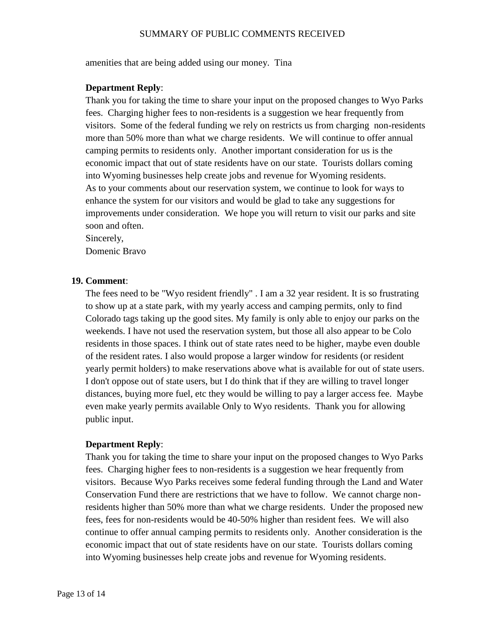amenities that are being added using our money. Tina

#### **Department Reply**:

Thank you for taking the time to share your input on the proposed changes to Wyo Parks fees. Charging higher fees to non-residents is a suggestion we hear frequently from visitors. Some of the federal funding we rely on restricts us from charging non-residents more than 50% more than what we charge residents. We will continue to offer annual camping permits to residents only. Another important consideration for us is the economic impact that out of state residents have on our state. Tourists dollars coming into Wyoming businesses help create jobs and revenue for Wyoming residents. As to your comments about our reservation system, we continue to look for ways to enhance the system for our visitors and would be glad to take any suggestions for improvements under consideration. We hope you will return to visit our parks and site soon and often.

Sincerely,

Domenic Bravo

#### **19. Comment**:

The fees need to be "Wyo resident friendly" . I am a 32 year resident. It is so frustrating to show up at a state park, with my yearly access and camping permits, only to find Colorado tags taking up the good sites. My family is only able to enjoy our parks on the weekends. I have not used the reservation system, but those all also appear to be Colo residents in those spaces. I think out of state rates need to be higher, maybe even double of the resident rates. I also would propose a larger window for residents (or resident yearly permit holders) to make reservations above what is available for out of state users. I don't oppose out of state users, but I do think that if they are willing to travel longer distances, buying more fuel, etc they would be willing to pay a larger access fee. Maybe even make yearly permits available Only to Wyo residents. Thank you for allowing public input.

#### **Department Reply**:

Thank you for taking the time to share your input on the proposed changes to Wyo Parks fees. Charging higher fees to non-residents is a suggestion we hear frequently from visitors. Because Wyo Parks receives some federal funding through the Land and Water Conservation Fund there are restrictions that we have to follow. We cannot charge nonresidents higher than 50% more than what we charge residents. Under the proposed new fees, fees for non-residents would be 40-50% higher than resident fees. We will also continue to offer annual camping permits to residents only. Another consideration is the economic impact that out of state residents have on our state. Tourists dollars coming into Wyoming businesses help create jobs and revenue for Wyoming residents.